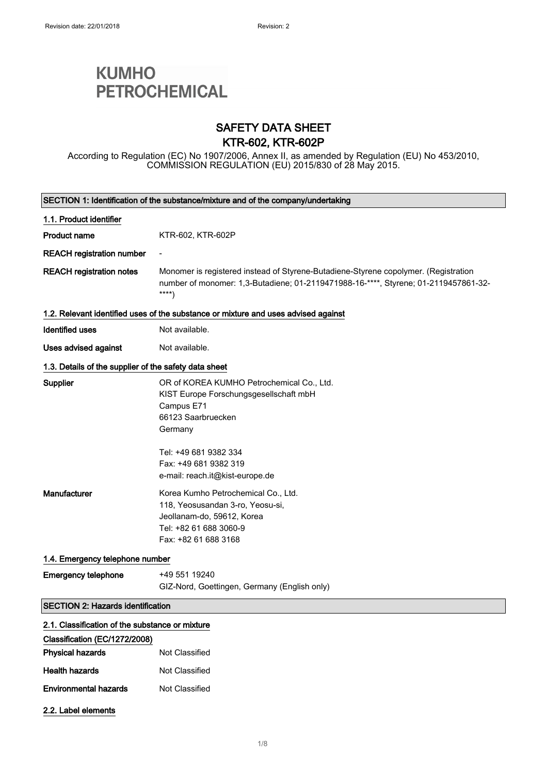# **KUMHO PETROCHEMICAL**

### SAFETY DATA SHEET KTR-602, KTR-602P

According to Regulation (EC) No 1907/2006, Annex II, as amended by Regulation (EU) No 453/2010, COMMISSION REGULATION (EU) 2015/830 of 28 May 2015.

| SECTION 1: Identification of the substance/mixture and of the company/undertaking |                                                                                                                                                                                                                         |
|-----------------------------------------------------------------------------------|-------------------------------------------------------------------------------------------------------------------------------------------------------------------------------------------------------------------------|
| 1.1. Product identifier                                                           |                                                                                                                                                                                                                         |
| <b>Product name</b>                                                               | KTR-602, KTR-602P                                                                                                                                                                                                       |
| <b>REACH registration number</b>                                                  |                                                                                                                                                                                                                         |
| <b>REACH registration notes</b>                                                   | Monomer is registered instead of Styrene-Butadiene-Styrene copolymer. (Registration<br>number of monomer: 1,3-Butadiene; 01-2119471988-16-****, Styrene; 01-2119457861-32-<br>$***$                                     |
|                                                                                   | 1.2. Relevant identified uses of the substance or mixture and uses advised against                                                                                                                                      |
| <b>Identified uses</b>                                                            | Not available.                                                                                                                                                                                                          |
| Uses advised against                                                              | Not available.                                                                                                                                                                                                          |
| 1.3. Details of the supplier of the safety data sheet                             |                                                                                                                                                                                                                         |
| <b>Supplier</b>                                                                   | OR of KOREA KUMHO Petrochemical Co., Ltd.<br>KIST Europe Forschungsgesellschaft mbH<br>Campus E71<br>66123 Saarbruecken<br>Germany<br>Tel: +49 681 9382 334<br>Fax: +49 681 9382 319<br>e-mail: reach.it@kist-europe.de |
| Manufacturer                                                                      | Korea Kumho Petrochemical Co., Ltd.<br>118, Yeosusandan 3-ro, Yeosu-si,<br>Jeollanam-do, 59612, Korea<br>Tel: +82 61 688 3060-9<br>Fax: +82 61 688 3168                                                                 |
| 1.4. Emergency telephone number                                                   |                                                                                                                                                                                                                         |
| <b>Emergency telephone</b>                                                        | +49 551 19240<br>GIZ-Nord, Goettingen, Germany (English only)                                                                                                                                                           |
| <b>SECTION 2: Hazards identification</b>                                          |                                                                                                                                                                                                                         |
| 2.1. Classification of the substance or mixture                                   |                                                                                                                                                                                                                         |
| Classification (EC/1272/2008)                                                     |                                                                                                                                                                                                                         |
| <b>Physical hazards</b>                                                           | Not Classified                                                                                                                                                                                                          |
| <b>Health hazards</b>                                                             | Not Classified                                                                                                                                                                                                          |
| <b>Environmental hazards</b>                                                      | Not Classified                                                                                                                                                                                                          |
| 2.2. Label elements                                                               |                                                                                                                                                                                                                         |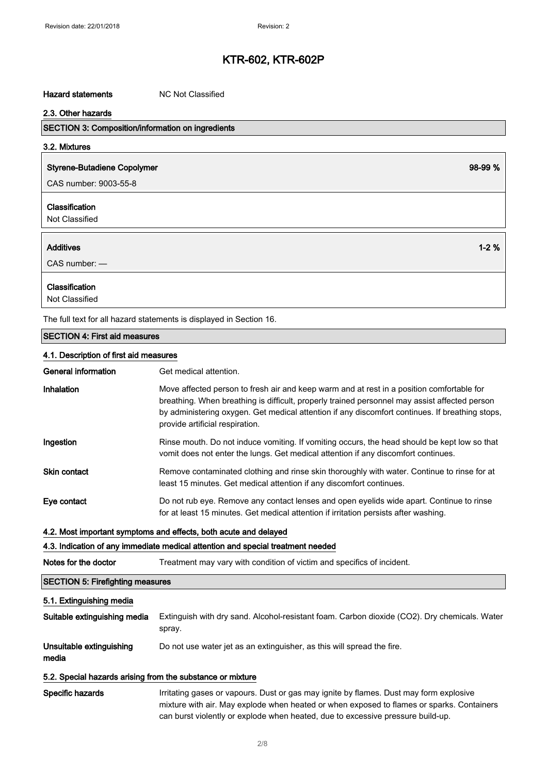#### Hazard statements MC Not Classified

| 2.3. Other hazards                                       |          |
|----------------------------------------------------------|----------|
| <b>SECTION 3: Composition/information on ingredients</b> |          |
| 3.2. Mixtures                                            |          |
| <b>Styrene-Butadiene Copolymer</b>                       | 98-99 %  |
| CAS number: 9003-55-8                                    |          |
| Classification<br>Not Classified                         |          |
| <b>Additives</b>                                         | $1 - 2%$ |
| $CAS$ number: $-$                                        |          |
| Classification                                           |          |

Not Classified

The full text for all hazard statements is displayed in Section 16.

#### SECTION 4: First aid measures

#### 4.1. Description of first aid measures

| General information | Get medical attention.                                                                                                                                                                                                                                                                                                           |
|---------------------|----------------------------------------------------------------------------------------------------------------------------------------------------------------------------------------------------------------------------------------------------------------------------------------------------------------------------------|
| Inhalation          | Move affected person to fresh air and keep warm and at rest in a position comfortable for<br>breathing. When breathing is difficult, properly trained personnel may assist affected person<br>by administering oxygen. Get medical attention if any discomfort continues. If breathing stops,<br>provide artificial respiration. |
| Ingestion           | Rinse mouth. Do not induce vomiting. If vomiting occurs, the head should be kept low so that<br>vomit does not enter the lungs. Get medical attention if any discomfort continues.                                                                                                                                               |
| <b>Skin contact</b> | Remove contaminated clothing and rinse skin thoroughly with water. Continue to rinse for at<br>least 15 minutes. Get medical attention if any discomfort continues.                                                                                                                                                              |
| Eye contact         | Do not rub eye. Remove any contact lenses and open eyelids wide apart. Continue to rinse<br>for at least 15 minutes. Get medical attention if irritation persists after washing.                                                                                                                                                 |

#### 4.2. Most important symptoms and effects, both acute and delayed

### 4.3. Indication of any immediate medical attention and special treatment needed

Notes for the doctor Treatment may vary with condition of victim and specifics of incident.

### SECTION 5: Firefighting measures

#### 5.1. Extinguishing media

| Suitable extinguishing media      | Extinguish with dry sand. Alcohol-resistant foam. Carbon dioxide (CO2). Dry chemicals. Water<br>spray. |
|-----------------------------------|--------------------------------------------------------------------------------------------------------|
| Unsuitable extinguishing<br>media | Do not use water jet as an extinguisher, as this will spread the fire.                                 |

#### 5.2. Special hazards arising from the substance or mixture

Specific hazards **Irritating gases or vapours.** Dust or gas may ignite by flames. Dust may form explosive mixture with air. May explode when heated or when exposed to flames or sparks. Containers can burst violently or explode when heated, due to excessive pressure build-up.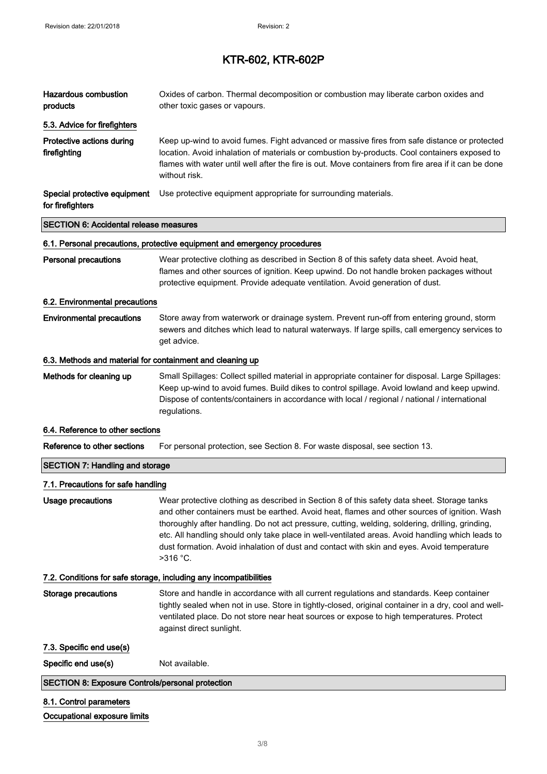| Hazardous combustion<br>products                          | Oxides of carbon. Thermal decomposition or combustion may liberate carbon oxides and<br>other toxic gases or vapours.                                                                                                                                                                                                                                                                                                                                                                                         |
|-----------------------------------------------------------|---------------------------------------------------------------------------------------------------------------------------------------------------------------------------------------------------------------------------------------------------------------------------------------------------------------------------------------------------------------------------------------------------------------------------------------------------------------------------------------------------------------|
| 5.3. Advice for firefighters                              |                                                                                                                                                                                                                                                                                                                                                                                                                                                                                                               |
| Protective actions during<br>firefighting                 | Keep up-wind to avoid fumes. Fight advanced or massive fires from safe distance or protected<br>location. Avoid inhalation of materials or combustion by-products. Cool containers exposed to<br>flames with water until well after the fire is out. Move containers from fire area if it can be done<br>without risk.                                                                                                                                                                                        |
| Special protective equipment<br>for firefighters          | Use protective equipment appropriate for surrounding materials.                                                                                                                                                                                                                                                                                                                                                                                                                                               |
| <b>SECTION 6: Accidental release measures</b>             |                                                                                                                                                                                                                                                                                                                                                                                                                                                                                                               |
|                                                           | 6.1. Personal precautions, protective equipment and emergency procedures                                                                                                                                                                                                                                                                                                                                                                                                                                      |
| <b>Personal precautions</b>                               | Wear protective clothing as described in Section 8 of this safety data sheet. Avoid heat,<br>flames and other sources of ignition. Keep upwind. Do not handle broken packages without<br>protective equipment. Provide adequate ventilation. Avoid generation of dust.                                                                                                                                                                                                                                        |
| 6.2. Environmental precautions                            |                                                                                                                                                                                                                                                                                                                                                                                                                                                                                                               |
| <b>Environmental precautions</b>                          | Store away from waterwork or drainage system. Prevent run-off from entering ground, storm<br>sewers and ditches which lead to natural waterways. If large spills, call emergency services to<br>get advice.                                                                                                                                                                                                                                                                                                   |
| 6.3. Methods and material for containment and cleaning up |                                                                                                                                                                                                                                                                                                                                                                                                                                                                                                               |
| Methods for cleaning up                                   | Small Spillages: Collect spilled material in appropriate container for disposal. Large Spillages:<br>Keep up-wind to avoid fumes. Build dikes to control spillage. Avoid lowland and keep upwind.<br>Dispose of contents/containers in accordance with local / regional / national / international<br>regulations.                                                                                                                                                                                            |
| 6.4. Reference to other sections                          |                                                                                                                                                                                                                                                                                                                                                                                                                                                                                                               |
| Reference to other sections                               | For personal protection, see Section 8. For waste disposal, see section 13.                                                                                                                                                                                                                                                                                                                                                                                                                                   |
| <b>SECTION 7: Handling and storage</b>                    |                                                                                                                                                                                                                                                                                                                                                                                                                                                                                                               |
| 7.1. Precautions for safe handling                        |                                                                                                                                                                                                                                                                                                                                                                                                                                                                                                               |
| <b>Usage precautions</b>                                  | Wear protective clothing as described in Section 8 of this safety data sheet. Storage tanks<br>and other containers must be earthed. Avoid heat, flames and other sources of ignition. Wash<br>thoroughly after handling. Do not act pressure, cutting, welding, soldering, drilling, grinding,<br>etc. All handling should only take place in well-ventilated areas. Avoid handling which leads to<br>dust formation. Avoid inhalation of dust and contact with skin and eyes. Avoid temperature<br>>316 °C. |
|                                                           | 7.2. Conditions for safe storage, including any incompatibilities                                                                                                                                                                                                                                                                                                                                                                                                                                             |
| <b>Storage precautions</b>                                | Store and handle in accordance with all current regulations and standards. Keep container<br>tightly sealed when not in use. Store in tightly-closed, original container in a dry, cool and well-<br>ventilated place. Do not store near heat sources or expose to high temperatures. Protect<br>against direct sunlight.                                                                                                                                                                                     |
| 7.3. Specific end use(s)                                  |                                                                                                                                                                                                                                                                                                                                                                                                                                                                                                               |
| Specific end use(s)                                       | Not available.                                                                                                                                                                                                                                                                                                                                                                                                                                                                                                |
| <b>SECTION 8: Exposure Controls/personal protection</b>   |                                                                                                                                                                                                                                                                                                                                                                                                                                                                                                               |
| 8.1. Control parameters                                   |                                                                                                                                                                                                                                                                                                                                                                                                                                                                                                               |
| Occupational exposure limits                              |                                                                                                                                                                                                                                                                                                                                                                                                                                                                                                               |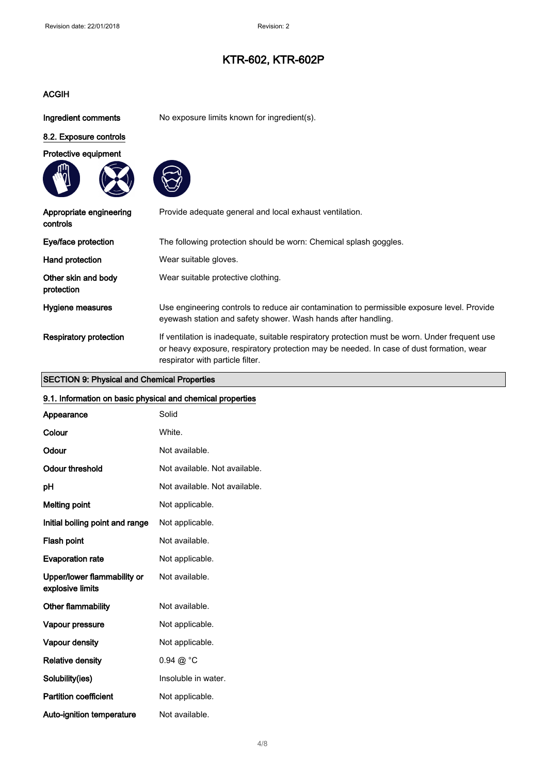### ACGIH

Ingredient comments No exposure limits known for ingredient(s).

### 8.2. Exposure controls







| Appropriate engineering<br>controls | Provide adequate general and local exhaust ventilation.                                                                                                                                                                        |
|-------------------------------------|--------------------------------------------------------------------------------------------------------------------------------------------------------------------------------------------------------------------------------|
| Eye/face protection                 | The following protection should be worn: Chemical splash goggles.                                                                                                                                                              |
| Hand protection                     | Wear suitable gloves.                                                                                                                                                                                                          |
| Other skin and body<br>protection   | Wear suitable protective clothing.                                                                                                                                                                                             |
| Hygiene measures                    | Use engineering controls to reduce air contamination to permissible exposure level. Provide<br>eyewash station and safety shower. Wash hands after handling.                                                                   |
| Respiratory protection              | If ventilation is inadequate, suitable respiratory protection must be worn. Under frequent use<br>or heavy exposure, respiratory protection may be needed. In case of dust formation, wear<br>respirator with particle filter. |

#### SECTION 9: Physical and Chemical Properties

## 9.1. Information on basic physical and chemical properties Appearance Solid Colour White. Odour Not available. Odour threshold Not available. Not available. pH Not available. Not available. Melting point Not applicable.

Initial boiling point and range Not applicable. Flash point Not available.

Evaporation rate Mot applicable. Upper/lower flammability or Not available.

explosive limits

Other flammability **Not** available. Vapour pressure **Not applicable**. Vapour density **Not** applicable. Relative density  $0.94 \ @ ^{\circ}C$ Solubility(ies) **Insoluble in water.** 

Partition coefficient Not applicable.

Auto-ignition temperature Not available.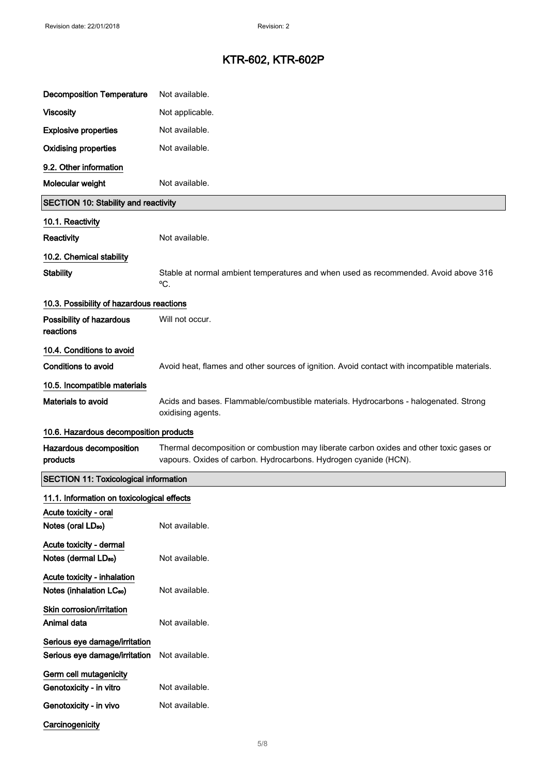| <b>Decomposition Temperature</b>                                    | Not available.                                                                                                                                              |  |
|---------------------------------------------------------------------|-------------------------------------------------------------------------------------------------------------------------------------------------------------|--|
| <b>Viscosity</b>                                                    | Not applicable.                                                                                                                                             |  |
| <b>Explosive properties</b>                                         | Not available.                                                                                                                                              |  |
| <b>Oxidising properties</b>                                         | Not available.                                                                                                                                              |  |
| 9.2. Other information                                              |                                                                                                                                                             |  |
| Molecular weight                                                    | Not available.                                                                                                                                              |  |
| <b>SECTION 10: Stability and reactivity</b>                         |                                                                                                                                                             |  |
| 10.1. Reactivity                                                    |                                                                                                                                                             |  |
| Reactivity                                                          | Not available.                                                                                                                                              |  |
| 10.2. Chemical stability                                            |                                                                                                                                                             |  |
| <b>Stability</b>                                                    | Stable at normal ambient temperatures and when used as recommended. Avoid above 316<br>°C.                                                                  |  |
| 10.3. Possibility of hazardous reactions                            |                                                                                                                                                             |  |
| Possibility of hazardous<br>reactions                               | Will not occur.                                                                                                                                             |  |
| 10.4. Conditions to avoid                                           |                                                                                                                                                             |  |
| <b>Conditions to avoid</b>                                          | Avoid heat, flames and other sources of ignition. Avoid contact with incompatible materials.                                                                |  |
| 10.5. Incompatible materials                                        |                                                                                                                                                             |  |
| Materials to avoid                                                  | Acids and bases. Flammable/combustible materials. Hydrocarbons - halogenated. Strong<br>oxidising agents.                                                   |  |
|                                                                     | 10.6. Hazardous decomposition products                                                                                                                      |  |
| Hazardous decomposition<br>products                                 | Thermal decomposition or combustion may liberate carbon oxides and other toxic gases or<br>vapours. Oxides of carbon. Hydrocarbons. Hydrogen cyanide (HCN). |  |
| <b>SECTION 11: Toxicological information</b>                        |                                                                                                                                                             |  |
| 11.1. Information on toxicological effects                          |                                                                                                                                                             |  |
| Acute toxicity - oral                                               | Not available.                                                                                                                                              |  |
| Notes (oral LD <sub>50</sub> )                                      |                                                                                                                                                             |  |
| Acute toxicity - dermal<br>Notes (dermal LD <sub>50</sub> )         | Not available.                                                                                                                                              |  |
| Acute toxicity - inhalation<br>Notes (inhalation LC <sub>50</sub> ) | Not available.                                                                                                                                              |  |
| Skin corrosion/irritation<br>Animal data                            | Not available.                                                                                                                                              |  |
| Serious eye damage/irritation<br>Serious eye damage/irritation      | Not available.                                                                                                                                              |  |
| Germ cell mutagenicity<br>Genotoxicity - in vitro                   | Not available.                                                                                                                                              |  |
| Genotoxicity - in vivo                                              | Not available.                                                                                                                                              |  |
| Carcinogenicity                                                     |                                                                                                                                                             |  |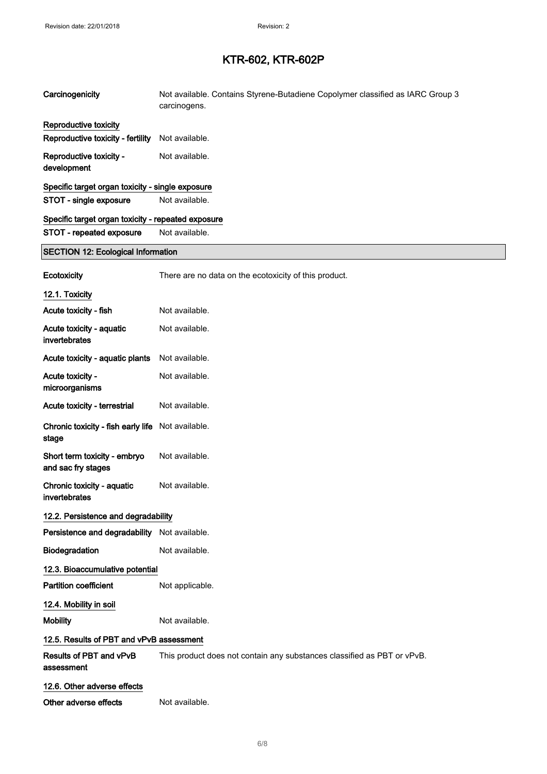| Carcinogenicity                                    | Not available. Contains Styrene-Butadiene Copolymer classified as IARC Group 3<br>carcinogens. |
|----------------------------------------------------|------------------------------------------------------------------------------------------------|
| Reproductive toxicity                              |                                                                                                |
| Reproductive toxicity - fertility                  | Not available.                                                                                 |
| Reproductive toxicity -<br>development             | Not available.                                                                                 |
| Specific target organ toxicity - single exposure   |                                                                                                |
| STOT - single exposure                             | Not available.                                                                                 |
| Specific target organ toxicity - repeated exposure |                                                                                                |
| STOT - repeated exposure                           | Not available.                                                                                 |
| <b>SECTION 12: Ecological Information</b>          |                                                                                                |
| Ecotoxicity                                        | There are no data on the ecotoxicity of this product.                                          |
| 12.1. Toxicity                                     |                                                                                                |
| Acute toxicity - fish                              | Not available.                                                                                 |
| Acute toxicity - aquatic<br>invertebrates          | Not available.                                                                                 |
| Acute toxicity - aquatic plants                    | Not available.                                                                                 |
| Acute toxicity -<br>microorganisms                 | Not available.                                                                                 |
| Acute toxicity - terrestrial                       | Not available.                                                                                 |
| Chronic toxicity - fish early life<br>stage        | Not available.                                                                                 |
| Short term toxicity - embryo<br>and sac fry stages | Not available.                                                                                 |
| Chronic toxicity - aquatic<br>invertebrates        | Not available.                                                                                 |
| 12.2. Persistence and degradability                |                                                                                                |
| Persistence and degradability Not available.       |                                                                                                |
| Biodegradation                                     | Not available.                                                                                 |
| 12.3. Bioaccumulative potential                    |                                                                                                |
| <b>Partition coefficient</b>                       | Not applicable.                                                                                |
| 12.4. Mobility in soil                             |                                                                                                |
| <b>Mobility</b>                                    | Not available.                                                                                 |
| 12.5. Results of PBT and vPvB assessment           |                                                                                                |
| Results of PBT and vPvB<br>assessment              | This product does not contain any substances classified as PBT or vPvB.                        |
| 12.6. Other adverse effects                        |                                                                                                |
| Other adverse effects                              | Not available.                                                                                 |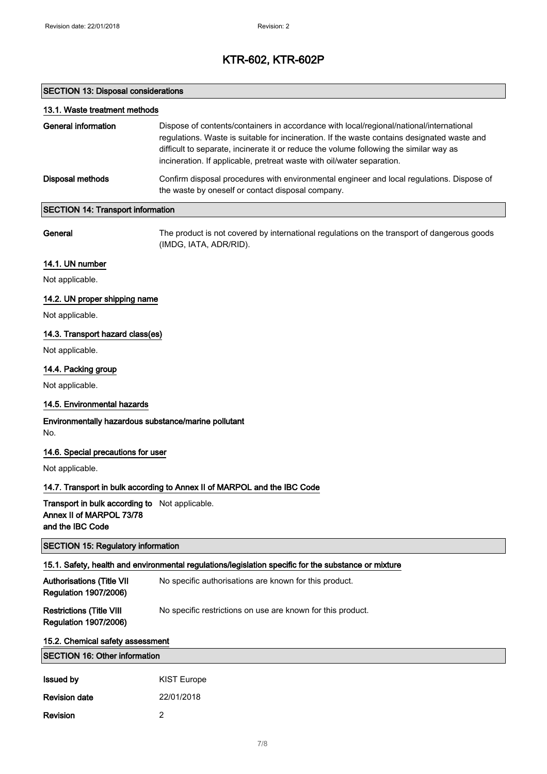### SECTION 13: Disposal considerations

Revision 2

| 13.1. Waste treatment methods                                                                  |                                                                                                                                                                                                                                                                                                                                                            |
|------------------------------------------------------------------------------------------------|------------------------------------------------------------------------------------------------------------------------------------------------------------------------------------------------------------------------------------------------------------------------------------------------------------------------------------------------------------|
| <b>General information</b>                                                                     | Dispose of contents/containers in accordance with local/regional/national/international<br>regulations. Waste is suitable for incineration. If the waste contains designated waste and<br>difficult to separate, incinerate it or reduce the volume following the similar way as<br>incineration. If applicable, pretreat waste with oil/water separation. |
| <b>Disposal methods</b>                                                                        | Confirm disposal procedures with environmental engineer and local regulations. Dispose of<br>the waste by oneself or contact disposal company.                                                                                                                                                                                                             |
| <b>SECTION 14: Transport information</b>                                                       |                                                                                                                                                                                                                                                                                                                                                            |
| General                                                                                        | The product is not covered by international regulations on the transport of dangerous goods<br>(IMDG, IATA, ADR/RID).                                                                                                                                                                                                                                      |
| 14.1. UN number                                                                                |                                                                                                                                                                                                                                                                                                                                                            |
| Not applicable.                                                                                |                                                                                                                                                                                                                                                                                                                                                            |
| 14.2. UN proper shipping name                                                                  |                                                                                                                                                                                                                                                                                                                                                            |
| Not applicable.                                                                                |                                                                                                                                                                                                                                                                                                                                                            |
| 14.3. Transport hazard class(es)                                                               |                                                                                                                                                                                                                                                                                                                                                            |
| Not applicable.                                                                                |                                                                                                                                                                                                                                                                                                                                                            |
| 14.4. Packing group                                                                            |                                                                                                                                                                                                                                                                                                                                                            |
| Not applicable.                                                                                |                                                                                                                                                                                                                                                                                                                                                            |
| 14.5. Environmental hazards                                                                    |                                                                                                                                                                                                                                                                                                                                                            |
| Environmentally hazardous substance/marine pollutant<br>No.                                    |                                                                                                                                                                                                                                                                                                                                                            |
| 14.6. Special precautions for user                                                             |                                                                                                                                                                                                                                                                                                                                                            |
| Not applicable.                                                                                |                                                                                                                                                                                                                                                                                                                                                            |
|                                                                                                | 14.7. Transport in bulk according to Annex II of MARPOL and the IBC Code                                                                                                                                                                                                                                                                                   |
| Transport in bulk according to Not applicable.<br>Annex II of MARPOL 73/78<br>and the IBC Code |                                                                                                                                                                                                                                                                                                                                                            |
| <b>SECTION 15: Regulatory information</b>                                                      |                                                                                                                                                                                                                                                                                                                                                            |
|                                                                                                | 15.1. Safety, health and environmental regulations/legislation specific for the substance or mixture                                                                                                                                                                                                                                                       |
| <b>Authorisations (Title VII</b><br><b>Regulation 1907/2006)</b>                               | No specific authorisations are known for this product.                                                                                                                                                                                                                                                                                                     |
| <b>Restrictions (Title VIII</b><br><b>Regulation 1907/2006)</b>                                | No specific restrictions on use are known for this product.                                                                                                                                                                                                                                                                                                |
| 15.2. Chemical safety assessment                                                               |                                                                                                                                                                                                                                                                                                                                                            |
| <b>SECTION 16: Other information</b>                                                           |                                                                                                                                                                                                                                                                                                                                                            |
| <b>Issued by</b>                                                                               | <b>KIST Europe</b>                                                                                                                                                                                                                                                                                                                                         |
| <b>Revision date</b>                                                                           | 22/01/2018                                                                                                                                                                                                                                                                                                                                                 |